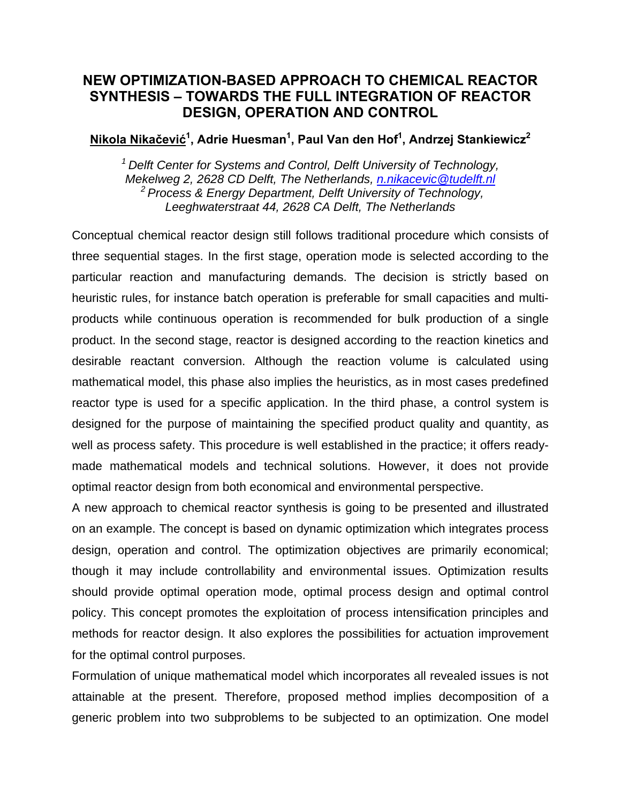## **NEW OPTIMIZATION-BASED APPROACH TO CHEMICAL REACTOR SYNTHESIS – TOWARDS THE FULL INTEGRATION OF REACTOR DESIGN, OPERATION AND CONTROL**

**Nikola Nikačević<sup>1</sup> , Adrie Huesman1 , Paul Van den Hof1 , Andrzej Stankiewicz2**

*1 Delft Center for Systems and Control, Delft University of Technology, Mekelweg 2, 2628 CD Delft, The Netherlands, [n.nikacevic@tudelft.nl](mailto:n.nikacevic@tudelft.nl) 2 Process & Energy Department, Delft University of Technology, Leeghwaterstraat 44, 2628 CA Delft, The Netherlands*

Conceptual chemical reactor design still follows traditional procedure which consists of three sequential stages. In the first stage, operation mode is selected according to the particular reaction and manufacturing demands. The decision is strictly based on heuristic rules, for instance batch operation is preferable for small capacities and multiproducts while continuous operation is recommended for bulk production of a single product. In the second stage, reactor is designed according to the reaction kinetics and desirable reactant conversion. Although the reaction volume is calculated using mathematical model, this phase also implies the heuristics, as in most cases predefined reactor type is used for a specific application. In the third phase, a control system is designed for the purpose of maintaining the specified product quality and quantity, as well as process safety. This procedure is well established in the practice; it offers readymade mathematical models and technical solutions. However, it does not provide optimal reactor design from both economical and environmental perspective.

A new approach to chemical reactor synthesis is going to be presented and illustrated on an example. The concept is based on dynamic optimization which integrates process design, operation and control. The optimization objectives are primarily economical; though it may include controllability and environmental issues. Optimization results should provide optimal operation mode, optimal process design and optimal control policy. This concept promotes the exploitation of process intensification principles and methods for reactor design. It also explores the possibilities for actuation improvement for the optimal control purposes.

Formulation of unique mathematical model which incorporates all revealed issues is not attainable at the present. Therefore, proposed method implies decomposition of a generic problem into two subproblems to be subjected to an optimization. One model